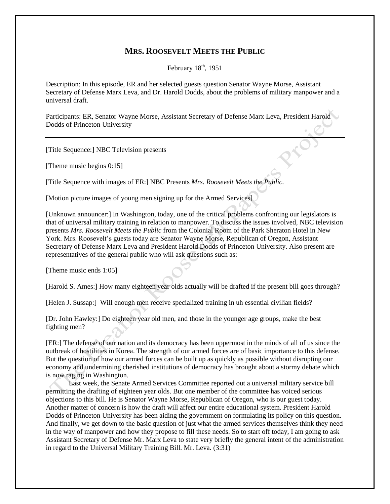## **MRS. ROOSEVELT MEETS THE PUBLIC**

February  $18<sup>th</sup>$ , 1951

Description: In this episode, ER and her selected guests question Senator Wayne Morse, Assistant Secretary of Defense Marx Leva, and Dr. Harold Dodds, about the problems of military manpower and a universal draft.

Participants: ER, Senator Wayne Morse, Assistant Secretary of Defense Marx Leva, President Harold Dodds of Princeton University

[Title Sequence:] NBC Television presents

[Theme music begins 0:15]

[Title Sequence with images of ER:] NBC Presents *Mrs. Roosevelt Meets the Public.*

[Motion picture images of young men signing up for the Armed Services]

[Unknown announcer:] In Washington, today, one of the critical problems confronting our legislators is that of universal military training in relation to manpower. To discuss the issues involved, NBC television presents *Mrs. Roosevelt Meets the Public* from the Colonial Room of the Park Sheraton Hotel in New York. Mrs. Roosevelt's guests today are Senator Wayne Morse, Republican of Oregon, Assistant Secretary of Defense Marx Leva and President Harold Dodds of Princeton University. Also present are representatives of the general public who will ask questions such as:

[Theme music ends 1:05]

[Harold S. Ames:] How many eighteen year olds actually will be drafted if the present bill goes through?

[Helen J. Sussap:] Will enough men receive specialized training in uh essential civilian fields?

[Dr. John Hawley:] Do eighteen year old men, and those in the younger age groups, make the best fighting men?

[ER:] The defense of our nation and its democracy has been uppermost in the minds of all of us since the outbreak of hostilities in Korea. The strength of our armed forces are of basic importance to this defense. But the question of how our armed forces can be built up as quickly as possible without disrupting our economy and undermining cherished institutions of democracy has brought about a stormy debate which is now raging in Washington.

Last week, the Senate Armed Services Committee reported out a universal military service bill permitting the drafting of eighteen year olds. But one member of the committee has voiced serious objections to this bill. He is Senator Wayne Morse, Republican of Oregon, who is our guest today. Another matter of concern is how the draft will affect our entire educational system. President Harold Dodds of Princeton University has been aiding the government on formulating its policy on this question. And finally, we get down to the basic question of just what the armed services themselves think they need in the way of manpower and how they propose to fill these needs. So to start off today, I am going to ask Assistant Secretary of Defense Mr. Marx Leva to state very briefly the general intent of the administration in regard to the Universal Military Training Bill. Mr. Leva. (3:31)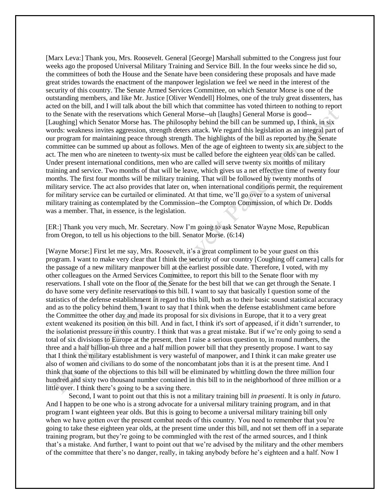[Marx Leva:] Thank you, Mrs. Roosevelt. General [George] Marshall submitted to the Congress just four weeks ago the proposed Universal Military Training and Service Bill. In the four weeks since he did so, the committees of both the House and the Senate have been considering these proposals and have made great strides towards the enactment of the manpower legislation we feel we need in the interest of the security of this country. The Senate Armed Services Committee, on which Senator Morse is one of the outstanding members, and like Mr. Justice [Oliver Wendell] Holmes, one of the truly great dissenters, has acted on the bill, and I will talk about the bill which that committee has voted thirteen to nothing to report to the Senate with the reservations which General Morse--uh [laughs] General Morse is good-- [Laughing] which Senator Morse has. The philosophy behind the bill can be summed up, I think, in six words: weakness invites aggression, strength deters attack. We regard this legislation as an integral part of our program for maintaining peace through strength. The highlights of the bill as reported by the Senate committee can be summed up about as follows. Men of the age of eighteen to twenty six are subject to the act. The men who are nineteen to twenty-six must be called before the eighteen year olds can be called. Under present international conditions, men who are called will serve twenty six months of military training and service. Two months of that will be leave, which gives us a net effective time of twenty four months. The first four months will be military training. That will be followed by twenty months of military service. The act also provides that later on, when international conditions permit, the requirement for military service can be curtailed or eliminated. At that time, we'll go over to a system of universal military training as contemplated by the Commission--the Compton Commission, of which Dr. Dodds was a member. That, in essence, is the legislation.

[ER:] Thank you very much, Mr. Secretary. Now I'm going to ask Senator Wayne Mose, Republican from Oregon, to tell us his objections to the bill. Senator Morse. (6:14)

[Wayne Morse:] First let me say, Mrs. Roosevelt, it's a great compliment to be your guest on this program. I want to make very clear that I think the security of our country [Coughing off camera] calls for the passage of a new military manpower bill at the earliest possible date. Therefore, I voted, with my other colleagues on the Armed Services Committee, to report this bill to the Senate floor with my reservations. I shall vote on the floor of the Senate for the best bill that we can get through the Senate. I do have some very definite reservations to this bill. I want to say that basically I question some of the statistics of the defense establishment in regard to this bill, both as to their basic sound statistical accuracy and as to the policy behind them. I want to say that I think when the defense establishment came before the Committee the other day and made its proposal for six divisions in Europe, that it to a very great extent weakened its position on this bill. And in fact, I think it's sort of appeased, if it didn't surrender, to the isolationist pressure in this country. I think that was a great mistake. But if we're only going to send a total of six divisions to Europe at the present, then I raise a serious question to, in round numbers, the three and a half billion-uh three and a half million power bill that they presently propose. I want to say that I think the military establishment is very wasteful of manpower, and I think it can make greater use also of women and civilians to do some of the noncombatant jobs than it is at the present time. And I think that some of the objections to this bill will be eliminated by whittling down the three million four hundred and sixty two thousand number contained in this bill to in the neighborhood of three million or a little over. I think there's going to be a saving there.

Second, I want to point out that this is not a military training bill *in praesenti*. It is only *in futuro*. And I happen to be one who is a strong advocate for a universal military training program, and in that program I want eighteen year olds. But this is going to become a universal military training bill only when we have gotten over the present combat needs of this country. You need to remember that you're going to take these eighteen year olds, at the present time under this bill, and not set them off in a separate training program, but they're going to be commingled with the rest of the armed sources, and I think that's a mistake. And further, I want to point out that we're advised by the military and the other members of the committee that there's no danger, really, in taking anybody before he's eighteen and a half. Now I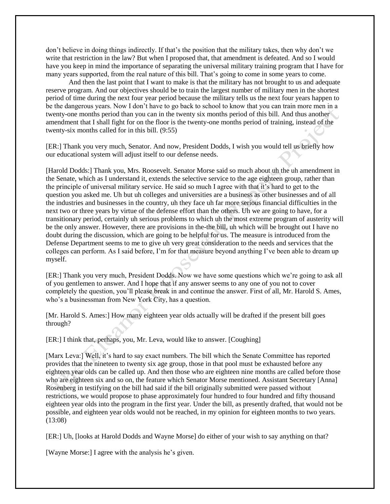don't believe in doing things indirectly. If that's the position that the military takes, then why don't we write that restriction in the law? But when I proposed that, that amendment is defeated. And so I would have you keep in mind the importance of separating the universal military training program that I have for many years supported, from the real nature of this bill. That's going to come in some years to come.

And then the last point that I want to make is that the military has not brought to us and adequate reserve program. And our objectives should be to train the largest number of military men in the shortest period of time during the next four year period because the military tells us the next four years happen to be the dangerous years. Now I don't have to go back to school to know that you can train more men in a twenty-one months period than you can in the twenty six months period of this bill. And thus another amendment that I shall fight for on the floor is the twenty-one months period of training, instead of the twenty-six months called for in this bill. (9:55)

[ER:] Thank you very much, Senator. And now, President Dodds, I wish you would tell us briefly how our educational system will adjust itself to our defense needs.

[Harold Dodds:] Thank you, Mrs. Roosevelt. Senator Morse said so much about uh the uh amendment in the Senate, which as I understand it, extends the selective service to the age eighteen group, rather than the principle of universal military service. He said so much I agree with that it's hard to get to the question you asked me. Uh but uh colleges and universities are a business as other businesses and of all the industries and businesses in the country, uh they face uh far more serious financial difficulties in the next two or three years by virtue of the defense effort than the others. Uh we are going to have, for a transitionary period, certainly uh serious problems to which uh the most extreme program of austerity will be the only answer. However, there are provisions in the-the bill, uh which will be brought out I have no doubt during the discussion, which are going to be helpful for us. The measure is introduced from the Defense Department seems to me to give uh very great consideration to the needs and services that the colleges can perform. As I said before, I'm for that measure beyond anything I've been able to dream up myself.

[ER:] Thank you very much, President Dodds. Now we have some questions which we're going to ask all of you gentlemen to answer. And I hope that if any answer seems to any one of you not to cover completely the question, you'll please break in and continue the answer. First of all, Mr. Harold S. Ames, who's a businessman from New York City, has a question.

[Mr. Harold S. Ames:] How many eighteen year olds actually will be drafted if the present bill goes through?

[ER:] I think that, perhaps, you, Mr. Leva, would like to answer. [Coughing]

[Marx Leva:] Well, it's hard to say exact numbers. The bill which the Senate Committee has reported provides that the nineteen to twenty six age group, those in that pool must be exhausted before any eighteen year olds can be called up. And then those who are eighteen nine months are called before those who are eighteen six and so on, the feature which Senator Morse mentioned. Assistant Secretary [Anna] Rosenberg in testifying on the bill had said if the bill originally submitted were passed without restrictions, we would propose to phase approximately four hundred to four hundred and fifty thousand eighteen year olds into the program in the first year. Under the bill, as presently drafted, that would not be possible, and eighteen year olds would not be reached, in my opinion for eighteen months to two years. (13:08)

[ER:] Uh, [looks at Harold Dodds and Wayne Morse] do either of your wish to say anything on that?

[Wayne Morse:] I agree with the analysis he's given.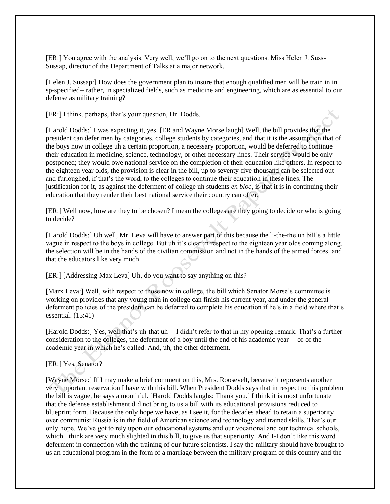[ER:] You agree with the analysis. Very well, we'll go on to the next questions. Miss Helen J. Suss-Sussap, director of the Department of Talks at a major network.

[Helen J. Sussap:] How does the government plan to insure that enough qualified men will be train in in sp-specified-- rather, in specialized fields, such as medicine and engineering, which are as essential to our defense as military training?

[ER:] I think, perhaps, that's your question, Dr. Dodds.

[Harold Dodds:] I was expecting it, yes. [ER and Wayne Morse laugh] Well, the bill provides that the president can defer men by categories, college students by categories, and that it is the assumption that of the boys now in college uh a certain proportion, a necessary proportion, would be deferred to continue their education in medicine, science, technology, or other necessary lines. Their service would be only postponed; they would owe national service on the completion of their education like others. In respect to the eighteen year olds, the provision is clear in the bill, up to seventy-five thousand can be selected out and furloughed, if that's the word, to the colleges to continue their education in these lines. The justification for it, as against the deferment of college uh students *en bloc*, is that it is in continuing their education that they render their best national service their country can offer.

[ER:] Well now, how are they to be chosen? I mean the colleges are they going to decide or who is going to decide?

[Harold Dodds:] Uh well, Mr. Leva will have to answer part of this because the li-the-the uh bill's a little vague in respect to the boys in college. But uh it's clear in respect to the eighteen year olds coming along, the selection will be in the hands of the civilian commission and not in the hands of the armed forces, and that the educators like very much.

[ER:] [Addressing Max Leva] Uh, do you want to say anything on this?

[Marx Leva:] Well, with respect to those now in college, the bill which Senator Morse's committee is working on provides that any young man in college can finish his current year, and under the general deferment policies of the president can be deferred to complete his education if he's in a field where that's essential. (15:41)

[Harold Dodds:] Yes, well that's uh-that uh -- I didn't refer to that in my opening remark. That's a further consideration to the colleges, the deferment of a boy until the end of his academic year -- of-of the academic year in which he's called. And, uh, the other deferment.

## [ER:] Yes, Senator?

[Wayne Morse:] If I may make a brief comment on this, Mrs. Roosevelt, because it represents another very important reservation I have with this bill. When President Dodds says that in respect to this problem the bill is vague, he says a mouthful. [Harold Dodds laughs: Thank you.] I think it is most unfortunate that the defense establishment did not bring to us a bill with its educational provisions reduced to blueprint form. Because the only hope we have, as I see it, for the decades ahead to retain a superiority over communist Russia is in the field of American science and technology and trained skills. That's our only hope. We've got to rely upon our educational systems and our vocational and our technical schools, which I think are very much slighted in this bill, to give us that superiority. And I-I don't like this word deferment in connection with the training of our future scientists. I say the military should have brought to us an educational program in the form of a marriage between the military program of this country and the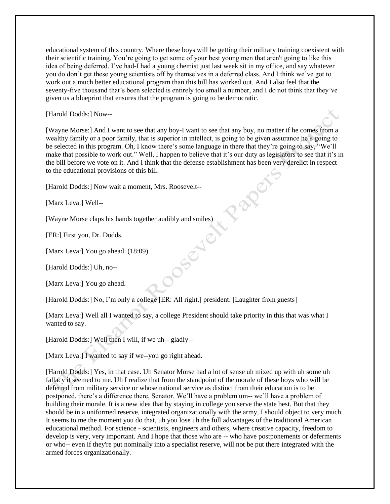educational system of this country. Where these boys will be getting their military training coexistent with their scientific training. You're going to get some of your best young men that aren't going to like this idea of being deferred. I've had-I had a young chemist just last week sit in my office, and say whatever you do don't get these young scientists off by themselves in a deferred class. And I think we've got to work out a much better educational program than this bill has worked out. And I also feel that the seventy-five thousand that's been selected is entirely too small a number, and I do not think that they've given us a blueprint that ensures that the program is going to be democratic.

[Harold Dodds:] Now--

[Wayne Morse:] And I want to see that any boy-I want to see that any boy, no matter if he comes from a wealthy family or a poor family, that is superior in intellect, is going to be given assurance he's going to be selected in this program. Oh, I know there's some language in there that they're going to say, "We'll make that possible to work out." Well, I happen to believe that it's our duty as legislators to see that it's in the bill before we vote on it. And I think that the defense establishment has been very derelict in respect to the educational provisions of this bill.

[Harold Dodds:] Now wait a moment, Mrs. Roosevelt--

[Marx Leva:] Well--

[Wayne Morse claps his hands together audibly and smiles)

[ER:] First you, Dr. Dodds.

[Marx Leva:] You go ahead. (18:09)

[Harold Dodds:] Uh, no--

[Marx Leva:] You go ahead.

[Harold Dodds:] No, I'm only a college [ER: All right.] president. [Laughter from guests]

[Marx Leva:] Well all I wanted to say, a college President should take priority in this that was what I wanted to say.

[Harold Dodds:] Well then I will, if we uh-- gladly--

[Marx Leva:] I wanted to say if we--you go right ahead.

[Harold Dodds:] Yes, in that case. Uh Senator Morse had a lot of sense uh mixed up with uh some uh fallacy it seemed to me. Uh I realize that from the standpoint of the morale of these boys who will be deferred from military service or whose national service as distinct from their education is to be postponed, there's a difference there, Senator. We'll have a problem um-- we'll have a problem of building their morale. It is a new idea that by staying in college you serve the state best. But that they should be in a uniformed reserve, integrated organizationally with the army, I should object to very much. It seems to me the moment you do that, uh you lose uh the full advantages of the traditional American educational method. For science - scientists, engineers and others, where creative capacity, freedom to develop is very, very important. And I hope that those who are -- who have postponements or deferments or who-- even if they're put nominally into a specialist reserve, will not be put there integrated with the armed forces organizationally.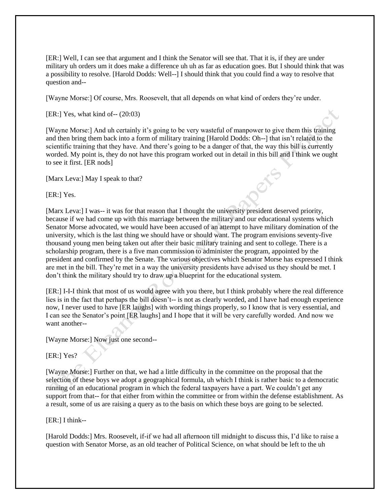[ER:] Well, I can see that argument and I think the Senator will see that. That it is, if they are under military uh orders um it does make a difference uh uh as far as education goes. But I should think that was a possibility to resolve. [Harold Dodds: Well--] I should think that you could find a way to resolve that question and--

[Wayne Morse:] Of course, Mrs. Roosevelt, that all depends on what kind of orders they're under.

 $[ER:] Yes, what kind of - (20:03)$ 

[Wayne Morse:] And uh certainly it's going to be very wasteful of manpower to give them this training and then bring them back into a form of military training [Harold Dodds: Oh--] that isn't related to the scientific training that they have. And there's going to be a danger of that, the way this bill is currently worded. My point is, they do not have this program worked out in detail in this bill and I think we ought to see it first. [ER nods]

[Marx Leva:] May I speak to that?

[ER:] Yes.

[Marx Leva:] I was-- it was for that reason that I thought the university president deserved priority, because if we had come up with this marriage between the military and our educational systems which Senator Morse advocated, we would have been accused of an attempt to have military domination of the university, which is the last thing we should have or should want. The program envisions seventy-five thousand young men being taken out after their basic military training and sent to college. There is a scholarship program, there is a five man commission to administer the program, appointed by the president and confirmed by the Senate. The various objectives which Senator Morse has expressed I think are met in the bill. They're met in a way the university presidents have advised us they should be met. I don't think the military should try to draw up a blueprint for the educational system.

[ER:] I-I-I think that most of us would agree with you there, but I think probably where the real difference lies is in the fact that perhaps the bill doesn't-- is not as clearly worded, and I have had enough experience now, I never used to have [ER laughs] with wording things properly, so I know that is very essential, and I can see the Senator's point [ER laughs] and I hope that it will be very carefully worded. And now we want another--

[Wayne Morse:] Now just one second--

[ER:] Yes?

[Wayne Morse:] Further on that, we had a little difficulty in the committee on the proposal that the selection of these boys we adopt a geographical formula, uh which I think is rather basic to a democratic running of an educational program in which the federal taxpayers have a part. We couldn't get any support from that-- for that either from within the committee or from within the defense establishment. As a result, some of us are raising a query as to the basis on which these boys are going to be selected.

## [ER:] I think--

[Harold Dodds:] Mrs. Roosevelt, if-if we had all afternoon till midnight to discuss this, I'd like to raise a question with Senator Morse, as an old teacher of Political Science, on what should be left to the uh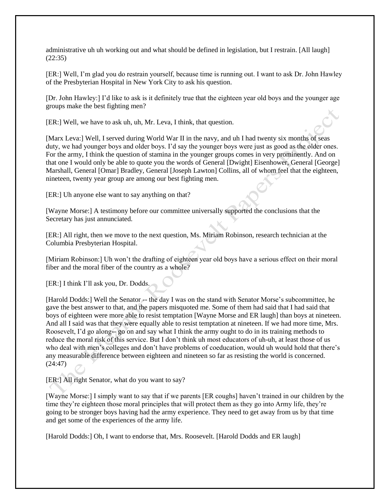administrative uh uh working out and what should be defined in legislation, but I restrain. [All laugh] (22:35)

[ER:] Well, I'm glad you do restrain yourself, because time is running out. I want to ask Dr. John Hawley of the Presbyterian Hospital in New York City to ask his question.

[Dr. John Hawley:] I'd like to ask is it definitely true that the eighteen year old boys and the younger age groups make the best fighting men?

[ER:] Well, we have to ask uh, uh, Mr. Leva, I think, that question.

[Marx Leva:] Well, I served during World War II in the navy, and uh I had twenty six months of seas duty, we had younger boys and older boys. I'd say the younger boys were just as good as the older ones. For the army, I think the question of stamina in the younger groups comes in very prominently. And on that one I would only be able to quote you the words of General [Dwight] Eisenhower, General [George] Marshall, General [Omar] Bradley, General [Joseph Lawton] Collins, all of whom feel that the eighteen, nineteen, twenty year group are among our best fighting men.

[ER:] Uh anyone else want to say anything on that?

[Wayne Morse:] A testimony before our committee universally supported the conclusions that the Secretary has just annunciated.

[ER:] All right, then we move to the next question, Ms. Miriam Robinson, research technician at the Columbia Presbyterian Hospital.

[Miriam Robinson:] Uh won't the drafting of eighteen year old boys have a serious effect on their moral fiber and the moral fiber of the country as a whole?

[ER:] I think I'll ask you, Dr. Dodds.

[Harold Dodds:] Well the Senator -- the day I was on the stand with Senator Morse's subcommittee, he gave the best answer to that, and the papers misquoted me. Some of them had said that I had said that boys of eighteen were more able to resist temptation [Wayne Morse and ER laugh] than boys at nineteen. And all I said was that they were equally able to resist temptation at nineteen. If we had more time, Mrs. Roosevelt, I'd go along-- go on and say what I think the army ought to do in its training methods to reduce the moral risk of this service. But I don't think uh most educators of uh-uh, at least those of us who deal with men's colleges and don't have problems of coeducation, would uh would hold that there's any measurable difference between eighteen and nineteen so far as resisting the world is concerned. (24:47)

[ER:] All right Senator, what do you want to say?

[Wayne Morse:] I simply want to say that if we parents [ER coughs] haven't trained in our children by the time they're eighteen those moral principles that will protect them as they go into Army life, they're going to be stronger boys having had the army experience. They need to get away from us by that time and get some of the experiences of the army life.

[Harold Dodds:] Oh, I want to endorse that, Mrs. Roosevelt. [Harold Dodds and ER laugh]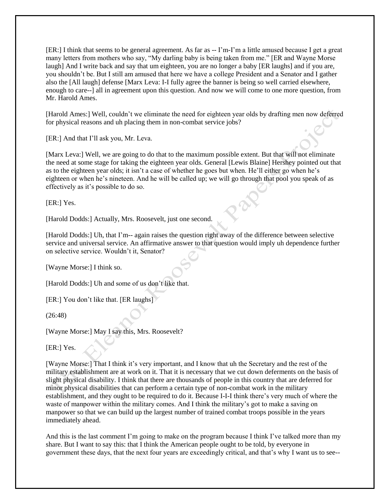[ER:] I think that seems to be general agreement. As far as -- I'm-I'm a little amused because I get a great many letters from mothers who say, "My darling baby is being taken from me." [ER and Wayne Morse laugh] And I write back and say that um eighteen, you are no longer a baby [ER laughs] and if you are, you shouldn't be. But I still am amused that here we have a college President and a Senator and I gather also the [All laugh] defense [Marx Leva: I-I fully agree the banner is being so well carried elsewhere, enough to care--] all in agreement upon this question. And now we will come to one more question, from Mr. Harold Ames.

[Harold Ames:] Well, couldn't we eliminate the need for eighteen year olds by drafting men now deferred for physical reasons and uh placing them in non-combat service jobs?

[ER:] And that I'll ask you, Mr. Leva.

[Marx Leva:] Well, we are going to do that to the maximum possible extent. But that will not eliminate the need at some stage for taking the eighteen year olds. General [Lewis Blaine] Hershey pointed out that as to the eighteen year olds; it isn't a case of whether he goes but when. He'll either go when he's eighteen or when he's nineteen. And he will be called up; we will go through that pool you speak of as effectively as it's possible to do so.

[ER:] Yes.

[Harold Dodds:] Actually, Mrs. Roosevelt, just one second.

[Harold Dodds:] Uh, that I'm-- again raises the question right away of the difference between selective service and universal service. An affirmative answer to that question would imply uh dependence further on selective service. Wouldn't it, Senator?

[Wayne Morse:] I think so.

[Harold Dodds:] Uh and some of us don't like that.

[ER:] You don't like that. [ER laughs]

(26:48)

[Wayne Morse:] May I say this, Mrs. Roosevelt?

[ER:] Yes.

[Wayne Morse:] That I think it's very important, and I know that uh the Secretary and the rest of the military establishment are at work on it. That it is necessary that we cut down deferments on the basis of slight physical disability. I think that there are thousands of people in this country that are deferred for minor physical disabilities that can perform a certain type of non-combat work in the military establishment, and they ought to be required to do it. Because I-I-I think there's very much of where the waste of manpower within the military comes. And I think the military's got to make a saving on manpower so that we can build up the largest number of trained combat troops possible in the years immediately ahead.

And this is the last comment I'm going to make on the program because I think I've talked more than my share. But I want to say this: that I think the American people ought to be told, by everyone in government these days, that the next four years are exceedingly critical, and that's why I want us to see--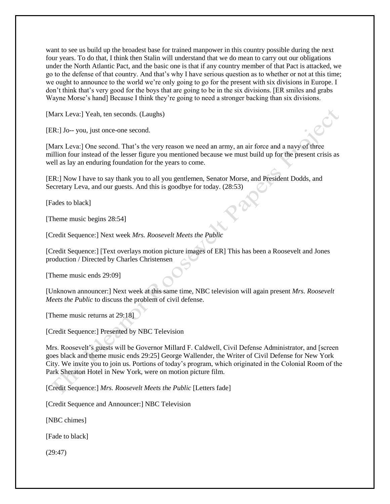want to see us build up the broadest base for trained manpower in this country possible during the next four years. To do that, I think then Stalin will understand that we do mean to carry out our obligations under the North Atlantic Pact, and the basic one is that if any country member of that Pact is attacked, we go to the defense of that country. And that's why I have serious question as to whether or not at this time; we ought to announce to the world we're only going to go for the present with six divisions in Europe. I don't think that's very good for the boys that are going to be in the six divisions. [ER smiles and grabs Wayne Morse's hand] Because I think they're going to need a stronger backing than six divisions.

[Marx Leva:] Yeah, ten seconds. (Laughs)

[ER:] Jo-- you, just once-one second.

[Marx Leva:] One second. That's the very reason we need an army, an air force and a navy of three million four instead of the lesser figure you mentioned because we must build up for the present crisis as well as lay an enduring foundation for the years to come.

[ER:] Now I have to say thank you to all you gentlemen, Senator Morse, and President Dodds, and Secretary Leva, and our guests. And this is goodbye for today. (28:53)

[Fades to black]

[Theme music begins 28:54]

[Credit Sequence:] Next week *Mrs. Roosevelt Meets the Public*

[Credit Sequence:] [Text overlays motion picture images of ER] This has been a Roosevelt and Jones production / Directed by Charles Christensen

[Theme music ends 29:09]

[Unknown announcer:] Next week at this same time, NBC television will again present *Mrs. Roosevelt Meets the Public* to discuss the problem of civil defense.

[Theme music returns at 29:18]

[Credit Sequence:] Presented by NBC Television

Mrs. Roosevelt's guests will be Governor Millard F. Caldwell, Civil Defense Administrator, and [screen goes black and theme music ends 29:25] George Wallender, the Writer of Civil Defense for New York City. We invite you to join us. Portions of today's program, which originated in the Colonial Room of the Park Sheraton Hotel in New York, were on motion picture film.

[Credit Sequence:] *Mrs. Roosevelt Meets the Public* [Letters fade]

[Credit Sequence and Announcer:] NBC Television

[NBC chimes]

[Fade to black]

(29:47)